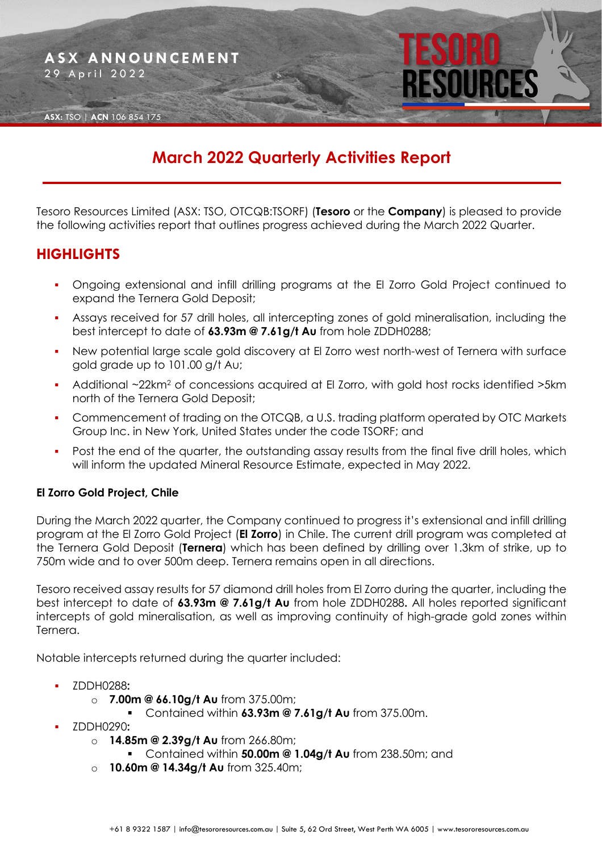

## **March 2022 Quarterly Activities Report**

Tesoro Resources Limited (ASX: TSO, OTCQB:TSORF) (**Tesoro** or the **Company**) is pleased to provide the following activities report that outlines progress achieved during the March 2022 Quarter.

## **HIGHLIGHTS**

- Ongoing extensional and infill drilling programs at the El Zorro Gold Project continued to expand the Ternera Gold Deposit;
- Assays received for 57 drill holes, all intercepting zones of gold mineralisation, including the best intercept to date of **63.93m @ 7.61g/t Au** from hole ZDDH0288;
- New potential large scale gold discovery at El Zorro west north-west of Ternera with surface gold grade up to 101.00 g/t Au;
- Additional ~22km<sup>2</sup> of concessions acquired at El Zorro, with gold host rocks identified >5km north of the Ternera Gold Deposit;
- Commencement of trading on the OTCQB, a U.S. trading platform operated by OTC Markets Group Inc. in New York, United States under the code TSORF; and
- Post the end of the quarter, the outstanding assay results from the final five drill holes, which will inform the updated Mineral Resource Estimate, expected in May 2022.

#### **El Zorro Gold Project, Chile**

During the March 2022 quarter, the Company continued to progress it's extensional and infill drilling program at the El Zorro Gold Project (**El Zorro**) in Chile. The current drill program was completed at the Ternera Gold Deposit (**Ternera**) which has been defined by drilling over 1.3km of strike, up to 750m wide and to over 500m deep. Ternera remains open in all directions.

Tesoro received assay results for 57 diamond drill holes from El Zorro during the quarter, including the best intercept to date of **63.93m @ 7.61g/t Au** from hole ZDDH0288**.** All holes reported significant intercepts of gold mineralisation, as well as improving continuity of high-grade gold zones within Ternera.

Notable intercepts returned during the quarter included:

- ZDDH0288**:**
	- o **7.00m @ 66.10g/t Au** from 375.00m;
		- Contained within **63.93m @ 7.61g/t Au** from 375.00m.
- ZDDH0290**:** 
	- o **14.85m @ 2.39g/t Au** from 266.80m;
		- Contained within **50.00m @ 1.04g/t Au** from 238.50m; and
	- o **10.60m @ 14.34g/t Au** from 325.40m;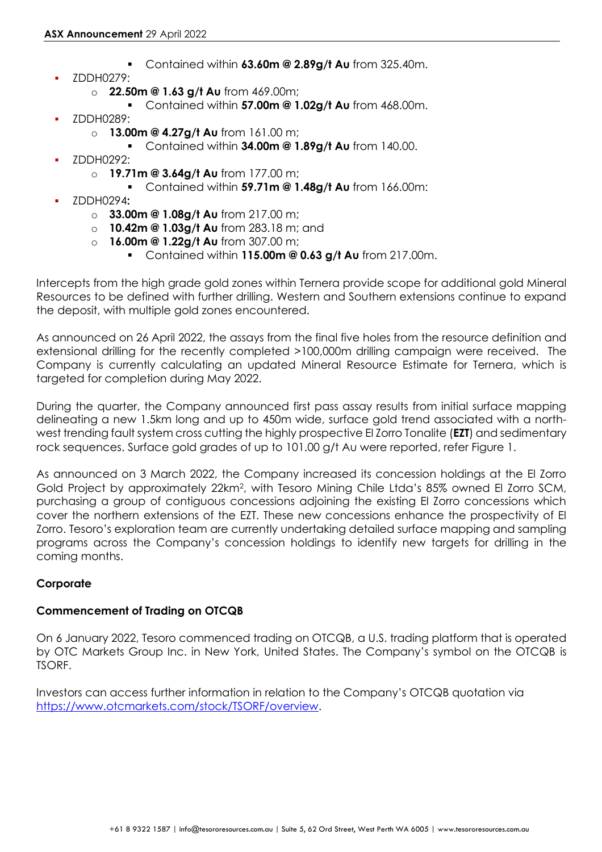- Contained within **63.60m @ 2.89g/t Au** from 325.40m.
- ZDDH0279:
	- o **22.50m @ 1.63 g/t Au** from 469.00m;
		- Contained within **57.00m @ 1.02g/t Au** from 468.00m.
- ZDDH0289:
	- o **13.00m @ 4.27g/t Au** from 161.00 m;
		- Contained within **34.00m @ 1.89g/t Au** from 140.00.
- ZDDH0292:
	- o **19.71m @ 3.64g/t Au** from 177.00 m;
		- Contained within **59.71m @ 1.48g/t Au** from 166.00m:
- ZDDH0294**:** 
	- o **33.00m @ 1.08g/t Au** from 217.00 m;
	- o **10.42m @ 1.03g/t Au** from 283.18 m; and
	- o **16.00m @ 1.22g/t Au** from 307.00 m;
		- Contained within **115.00m @ 0.63 g/t Au** from 217.00m.

Intercepts from the high grade gold zones within Ternera provide scope for additional gold Mineral Resources to be defined with further drilling. Western and Southern extensions continue to expand the deposit, with multiple gold zones encountered.

As announced on 26 April 2022, the assays from the final five holes from the resource definition and extensional drilling for the recently completed >100,000m drilling campaign were received. The Company is currently calculating an updated Mineral Resource Estimate for Ternera, which is targeted for completion during May 2022.

During the quarter, the Company announced first pass assay results from initial surface mapping delineating a new 1.5km long and up to 450m wide, surface gold trend associated with a northwest trending fault system cross cutting the highly prospective El Zorro Tonalite (**EZT**) and sedimentary rock sequences. Surface gold grades of up to 101.00 g/t Au were reported, refer Figure 1.

As announced on 3 March 2022, the Company increased its concession holdings at the El Zorro Gold Project by approximately 22km<sup>2</sup>, with Tesoro Mining Chile Ltda's 85% owned El Zorro SCM, purchasing a group of contiguous concessions adjoining the existing El Zorro concessions which cover the northern extensions of the EZT. These new concessions enhance the prospectivity of El Zorro. Tesoro's exploration team are currently undertaking detailed surface mapping and sampling programs across the Company's concession holdings to identify new targets for drilling in the coming months.

#### **Corporate**

#### **Commencement of Trading on OTCQB**

On 6 January 2022, Tesoro commenced trading on OTCQB, a U.S. trading platform that is operated by OTC Markets Group Inc. in New York, United States. The Company's symbol on the OTCQB is TSORF.

Investors can access further information in relation to the Company's OTCQB quotation via [https://www.otcmarkets.com/stock/TSORF/overview.](https://www.otcmarkets.com/stock/TSORF/overview)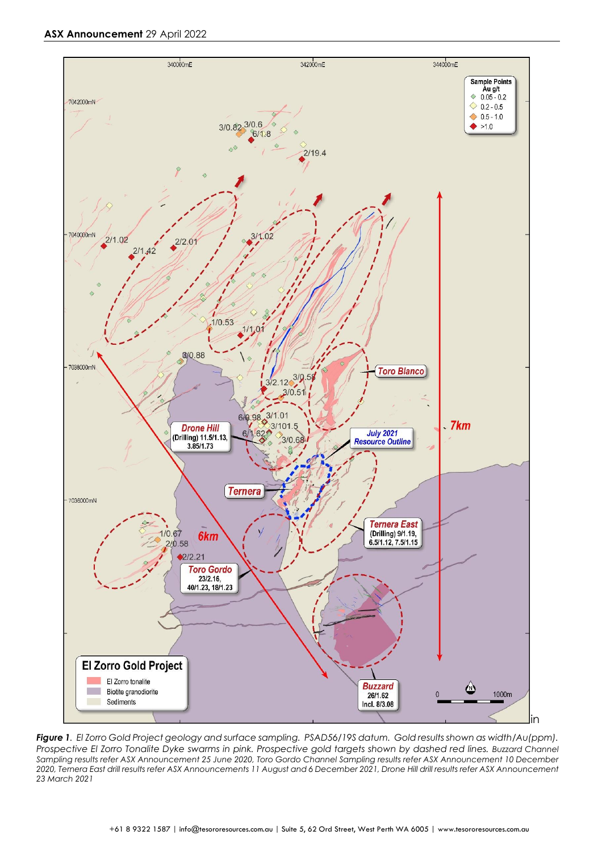

*Figure 1. El Zorro Gold Project geology and surface sampling. PSAD56/19S datum. Gold results shown as width/Au(ppm). Prospective El Zorro Tonalite Dyke swarms in pink. Prospective gold targets shown by dashed red lines. Buzzard Channel Sampling results refer ASX Announcement 25 June 2020, Toro Gordo Channel Sampling results refer ASX Announcement 10 December 2020, Ternera East drill results refer ASX Announcements 11 August and 6 December 2021, Drone Hill drill results refer ASX Announcement 23 March 2021*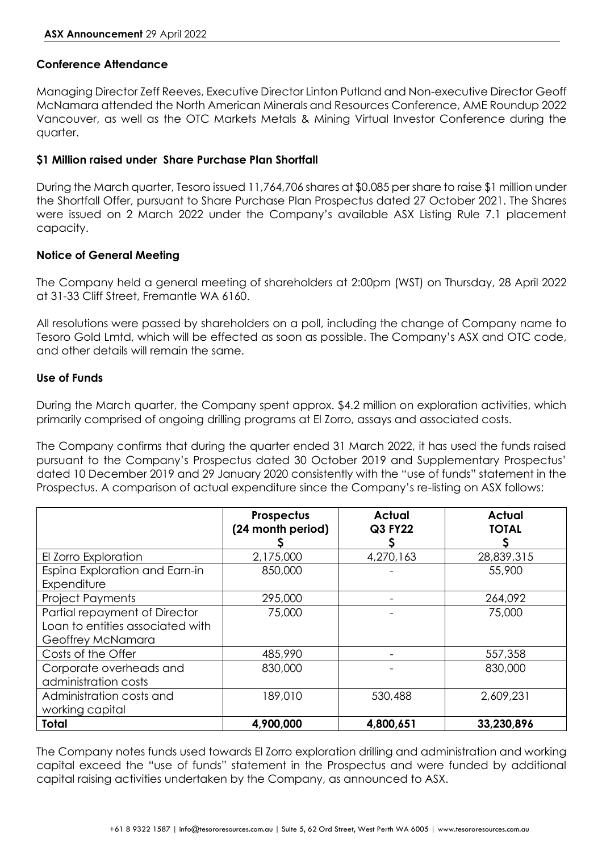#### **Conference Attendance**

Managing Director Zeff Reeves, Executive Director Linton Putland and Non-executive Director Geoff McNamara attended the North American Minerals and Resources Conference, AME Roundup 2022 Vancouver, as well as the OTC Markets Metals & Mining Virtual Investor Conference during the quarter.

#### **\$1 Million raised under Share Purchase Plan Shortfall**

During the March quarter, Tesoro issued 11,764,706 shares at \$0.085 per share to raise \$1 million under the Shortfall Offer, pursuant to Share Purchase Plan Prospectus dated 27 October 2021. The Shares were issued on 2 March 2022 under the Company's available ASX Listing Rule 7.1 placement capacity.

#### **Notice of General Meeting**

The Company held a general meeting of shareholders at 2:00pm (WST) on Thursday, 28 April 2022 at 31-33 Cliff Street, Fremantle WA 6160.

All resolutions were passed by shareholders on a poll, including the change of Company name to Tesoro Gold Lmtd, which will be effected as soon as possible. The Company's ASX and OTC code, and other details will remain the same.

#### **Use of Funds**

During the March quarter, the Company spent approx. \$4.2 million on exploration activities, which primarily comprised of ongoing drilling programs at El Zorro, assays and associated costs.

The Company confirms that during the quarter ended 31 March 2022, it has used the funds raised pursuant to the Company's Prospectus dated 30 October 2019 and Supplementary Prospectus' dated 10 December 2019 and 29 January 2020 consistently with the "use of funds" statement in the Prospectus. A comparison of actual expenditure since the Company's re-listing on ASX follows:

|                                                                                        | Prospectus<br>(24 month period) | <b>Actual</b><br>Q3 FY22 | <b>Actual</b><br><b>TOTAL</b> |
|----------------------------------------------------------------------------------------|---------------------------------|--------------------------|-------------------------------|
| El Zorro Exploration                                                                   | 2,175,000                       | 4,270,163                | 28,839,315                    |
| Espina Exploration and Earn-in<br>Expenditure                                          | 850,000                         |                          | 55,900                        |
| <b>Project Payments</b>                                                                | 295,000                         |                          | 264,092                       |
| Partial repayment of Director<br>Loan to entities associated with<br>Geoffrey McNamara | 75,000                          |                          | 75,000                        |
| Costs of the Offer                                                                     | 485,990                         |                          | 557,358                       |
| Corporate overheads and<br>administration costs                                        | 830,000                         |                          | 830,000                       |
| Administration costs and<br>working capital                                            | 189,010                         | 530,488                  | 2,609,231                     |
| <b>Total</b>                                                                           | 4,900,000                       | 4,800,651                | 33,230,896                    |

The Company notes funds used towards El Zorro exploration drilling and administration and working capital exceed the "use of funds" statement in the Prospectus and were funded by additional capital raising activities undertaken by the Company, as announced to ASX.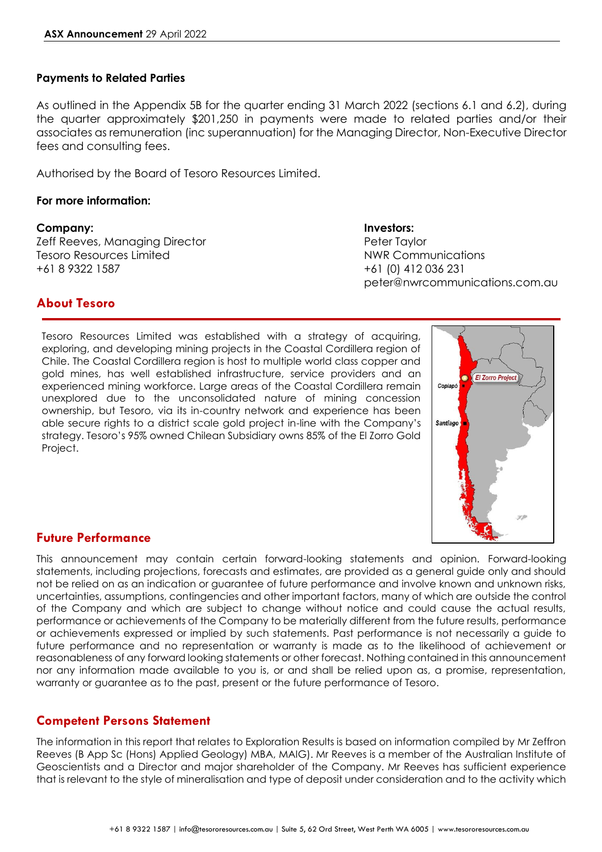#### **Payments to Related Parties**

As outlined in the Appendix 5B for the quarter ending 31 March 2022 (sections 6.1 and 6.2), during the quarter approximately \$201,250 in payments were made to related parties and/or their associates as remuneration (inc superannuation) for the Managing Director, Non-Executive Director fees and consulting fees.

Authorised by the Board of Tesoro Resources Limited.

#### **For more information:**

#### **Company: Investors:**

Zeff Reeves, Managing Director **Peter Taylor** Peter Taylor Tesoro Resources Limited NWR Communications +61 8 9322 1587 +61 (0) 412 036 231

# peter@nwrcommunications.com.au

## **About Tesoro**

Tesoro Resources Limited was established with a strategy of acquiring, exploring, and developing mining projects in the Coastal Cordillera region of Chile. The Coastal Cordillera region is host to multiple world class copper and gold mines, has well established infrastructure, service providers and an experienced mining workforce. Large areas of the Coastal Cordillera remain unexplored due to the unconsolidated nature of mining concession ownership, but Tesoro, via its in-country network and experience has been able secure rights to a district scale gold project in-line with the Company's strategy. Tesoro's 95% owned Chilean Subsidiary owns 85% of the El Zorro Gold Project.



#### **Future Performance**

This announcement may contain certain forward-looking statements and opinion. Forward-looking statements, including projections, forecasts and estimates, are provided as a general guide only and should not be relied on as an indication or guarantee of future performance and involve known and unknown risks, uncertainties, assumptions, contingencies and other important factors, many of which are outside the control of the Company and which are subject to change without notice and could cause the actual results, performance or achievements of the Company to be materially different from the future results, performance or achievements expressed or implied by such statements. Past performance is not necessarily a guide to future performance and no representation or warranty is made as to the likelihood of achievement or reasonableness of any forward looking statements or other forecast. Nothing contained in this announcement nor any information made available to you is, or and shall be relied upon as, a promise, representation, warranty or guarantee as to the past, present or the future performance of Tesoro.

#### **Competent Persons Statement**

The information in this report that relates to Exploration Results is based on information compiled by Mr Zeffron Reeves (B App Sc (Hons) Applied Geology) MBA, MAIG). Mr Reeves is a member of the Australian Institute of Geoscientists and a Director and major shareholder of the Company. Mr Reeves has sufficient experience that is relevant to the style of mineralisation and type of deposit under consideration and to the activity which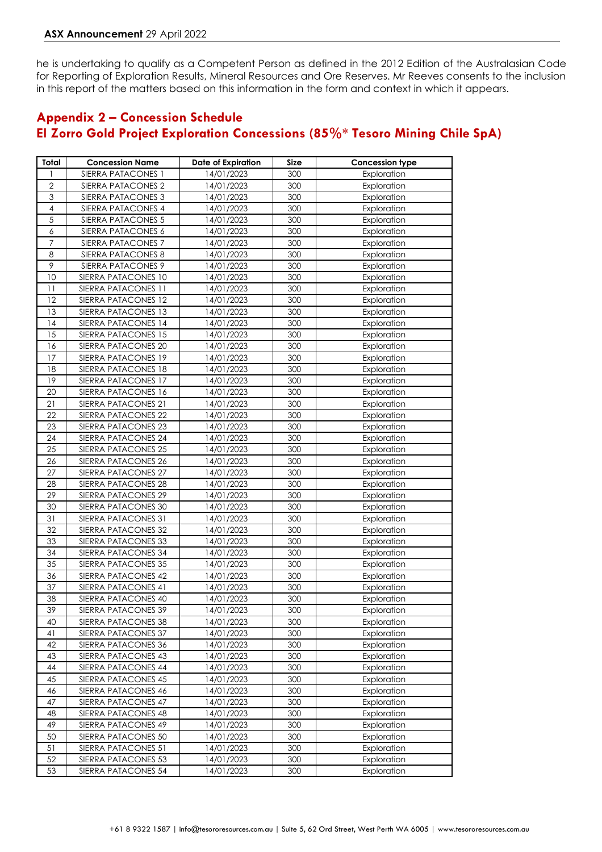he is undertaking to qualify as a Competent Person as defined in the 2012 Edition of the Australasian Code for Reporting of Exploration Results, Mineral Resources and Ore Reserves. Mr Reeves consents to the inclusion in this report of the matters based on this information in the form and context in which it appears.

## **Appendix 2 – Concession Schedule El Zorro Gold Project Exploration Concessions (85%\* Tesoro Mining Chile SpA)**

| Total            | <b>Concession Name</b>                     | Date of Expiration       | Size       | Concession type            |
|------------------|--------------------------------------------|--------------------------|------------|----------------------------|
|                  | SIERRA PATACONES 1                         | 14/01/2023               | 300        | Exploration                |
| $\overline{2}$   | SIERRA PATACONES 2                         | 14/01/2023               | 300        | Exploration                |
| 3                | SIERRA PATACONES 3                         | 14/01/2023               | 300        | Exploration                |
| $\overline{4}$   | SIERRA PATACONES 4                         | 14/01/2023               | 300        | Exploration                |
| $\overline{5}$   | SIERRA PATACONES 5                         | 14/01/2023               | 300        | Exploration                |
| $\boldsymbol{6}$ | SIERRA PATACONES 6                         | 14/01/2023               | 300        | Exploration                |
| $\overline{7}$   | SIERRA PATACONES 7                         | 14/01/2023               | 300        | Exploration                |
| 8                | SIERRA PATACONES 8                         | 14/01/2023               | 300        | Exploration                |
| 9                | SIERRA PATACONES 9                         | 14/01/2023               | 300        | Exploration                |
| 10               | SIERRA PATACONES 10                        | 14/01/2023               | 300        | Exploration                |
| 11               | SIERRA PATACONES 11                        | 14/01/2023               | 300        | Exploration                |
| 12               | SIERRA PATACONES 12                        | 14/01/2023               | 300        | Exploration                |
| 13               | SIERRA PATACONES 13                        | 14/01/2023               | 300        | Exploration                |
| 14               | SIERRA PATACONES 14                        | 14/01/2023               | 300        | Exploration                |
| 15               | SIERRA PATACONES 15                        | 14/01/2023               | 300        | Exploration                |
| 16               | SIERRA PATACONES 20                        | 14/01/2023               | 300        | Exploration                |
| 17               | SIERRA PATACONES 19                        | 14/01/2023               | 300        | Exploration                |
| 18               | SIERRA PATACONES 18                        | 14/01/2023               | 300        | Exploration                |
| 19               | SIERRA PATACONES 17                        | 14/01/2023               | 300        | Exploration                |
| 20               | SIERRA PATACONES 16                        | 14/01/2023               | 300        | Exploration                |
| 21               | SIERRA PATACONES 21                        | 14/01/2023               | 300        | Exploration                |
| 22               | SIERRA PATACONES 22                        | 14/01/2023               | 300        | Exploration                |
| 23               | SIERRA PATACONES 23                        | 14/01/2023               | 300        | Exploration                |
| 24               | SIERRA PATACONES 24                        | 14/01/2023               | 300        | Exploration                |
| 25               | SIERRA PATACONES 25                        | 14/01/2023               | 300        | Exploration                |
| 26               | SIERRA PATACONES 26                        | 14/01/2023               | 300        | Exploration                |
| 27               | SIERRA PATACONES 27                        | 14/01/2023               | 300        | Exploration                |
| 28               | SIERRA PATACONES 28                        | 14/01/2023               | 300        | Exploration                |
| 29               | SIERRA PATACONES 29                        | 14/01/2023               | 300        | Exploration                |
| 30               | SIERRA PATACONES 30                        | 14/01/2023               | 300        | Exploration                |
| 31               | SIERRA PATACONES 31                        | 14/01/2023               | 300        | Exploration                |
| 32               | SIERRA PATACONES 32                        | 14/01/2023               | 300        | Exploration                |
| 33               | SIERRA PATACONES 33                        | 14/01/2023               | 300        | Exploration                |
| 34<br>35         | SIERRA PATACONES 34                        | 14/01/2023               | 300<br>300 | Exploration                |
|                  | SIERRA PATACONES 35                        | 14/01/2023               |            | Exploration                |
| 36<br>37         | SIERRA PATACONES 42                        | 14/01/2023               | 300        | Exploration                |
| 38               | SIERRA PATACONES 41<br>SIERRA PATACONES 40 | 14/01/2023<br>14/01/2023 | 300<br>300 | Exploration<br>Exploration |
| 39               | SIERRA PATACONES 39                        | 14/01/2023               | 300        | Exploration                |
| 40               |                                            |                          | 300        |                            |
| 41               | SIERRA PATACONES 38<br>SIERRA PATACONES 37 | 14/01/2023<br>14/01/2023 | 300        | Exploration<br>Exploration |
| 42               | SIERRA PATACONES 36                        | 14/01/2023               | 300        | Exploration                |
| 43               | SIERRA PATACONES 43                        | 14/01/2023               | 300        | Exploration                |
| 44               | SIERRA PATACONES 44                        | 14/01/2023               | 300        | Exploration                |
| 45               | SIERRA PATACONES 45                        | 14/01/2023               | 300        | Exploration                |
| 46               | SIERRA PATACONES 46                        | 14/01/2023               | 300        | Exploration                |
| 47               | SIERRA PATACONES 47                        | 14/01/2023               | 300        | Exploration                |
| 48               | SIERRA PATACONES 48                        | 14/01/2023               | 300        | Exploration                |
| 49               | SIERRA PATACONES 49                        | 14/01/2023               | 300        | Exploration                |
| 50               | SIERRA PATACONES 50                        | 14/01/2023               | 300        | Exploration                |
| 51               | SIERRA PATACONES 51                        | 14/01/2023               | 300        | Exploration                |
| 52               | SIERRA PATACONES 53                        | 14/01/2023               | 300        | Exploration                |
| 53               | SIERRA PATACONES 54                        | 14/01/2023               | 300        | Exploration                |
|                  |                                            |                          |            |                            |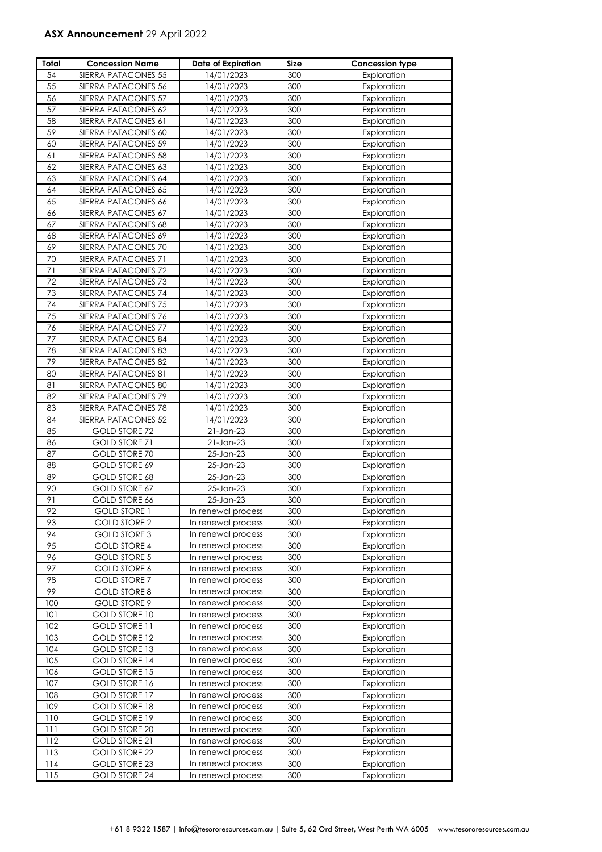| Total | <b>Concession Name</b> | <b>Date of Expiration</b> | Size | <b>Concession type</b> |
|-------|------------------------|---------------------------|------|------------------------|
| 54    | SIERRA PATACONES 55    | 14/01/2023                | 300  | Exploration            |
| 55    | SIERRA PATACONES 56    | 14/01/2023                | 300  | Exploration            |
| 56    | SIERRA PATACONES 57    | 14/01/2023                | 300  | Exploration            |
| 57    | SIERRA PATACONES 62    | 14/01/2023                | 300  | Exploration            |
| 58    | SIERRA PATACONES 61    | 14/01/2023                | 300  | Exploration            |
| 59    | SIERRA PATACONES 60    | 14/01/2023                | 300  | Exploration            |
| 60    | SIERRA PATACONES 59    | 14/01/2023                | 300  | Exploration            |
| 61    | SIERRA PATACONES 58    | 14/01/2023                | 300  | Exploration            |
| 62    | SIERRA PATACONES 63    | 14/01/2023                | 300  | Exploration            |
| 63    | SIERRA PATACONES 64    | 14/01/2023                | 300  | Exploration            |
| 64    | SIERRA PATACONES 65    | 14/01/2023                | 300  | Exploration            |
| 65    | SIERRA PATACONES 66    | 14/01/2023                | 300  | Exploration            |
| 66    | SIERRA PATACONES 67    | 14/01/2023                | 300  | Exploration            |
| 67    | SIERRA PATACONES 68    | 14/01/2023                | 300  | Exploration            |
| 68    | SIERRA PATACONES 69    | 14/01/2023                | 300  | Exploration            |
| 69    | SIERRA PATACONES 70    | 14/01/2023                | 300  | Exploration            |
| 70    | SIERRA PATACONES 71    | 14/01/2023                | 300  | Exploration            |
| 71    | SIERRA PATACONES 72    | 14/01/2023                | 300  | Exploration            |
| 72    | SIERRA PATACONES 73    | 14/01/2023                | 300  | Exploration            |
| 73    | SIERRA PATACONES 74    | 14/01/2023                | 300  | Exploration            |
| 74    | SIERRA PATACONES 75    | 14/01/2023                | 300  | Exploration            |
| 75    | SIERRA PATACONES 76    | 14/01/2023                | 300  | Exploration            |
| 76    | SIERRA PATACONES 77    | 14/01/2023                | 300  | Exploration            |
| 77    | SIERRA PATACONES 84    | 14/01/2023                | 300  | Exploration            |
| 78    | SIERRA PATACONES 83    | 14/01/2023                | 300  | Exploration            |
| 79    | SIERRA PATACONES 82    | 14/01/2023                | 300  | Exploration            |
| 80    | SIERRA PATACONES 81    | 14/01/2023                | 300  | Exploration            |
| 81    | SIERRA PATACONES 80    | 14/01/2023                | 300  | Exploration            |
| 82    | SIERRA PATACONES 79    | 14/01/2023                | 300  | Exploration            |
| 83    | SIERRA PATACONES 78    | 14/01/2023                | 300  | Exploration            |
| 84    | SIERRA PATACONES 52    | 14/01/2023                | 300  | Exploration            |
| 85    | <b>GOLD STORE 72</b>   | $21$ -Jan- $23$           | 300  | Exploration            |
| 86    | GOLD STORE 71          | $21$ -Jan- $23$           | 300  | Exploration            |
| 87    | <b>GOLD STORE 70</b>   | 25-Jan-23                 | 300  | Exploration            |
| 88    | GOLD STORE 69          | 25-Jan-23                 | 300  | Exploration            |
| 89    | GOLD STORE 68          | 25-Jan-23                 | 300  | Exploration            |
| 90    | GOLD STORE 67          | 25-Jan-23                 | 300  | Exploration            |
| 91    | GOLD STORE 66          | 25-Jan-23                 | 300  | Exploration            |
| 92    | <b>GOLD STORE 1</b>    | In renewal process        | 300  | Exploration            |
| 93    | <b>GOLD STORE 2</b>    | In renewal process        | 300  | Exploration            |
| 94    | <b>GOLD STORE 3</b>    | In renewal process        | 300  | Exploration            |
| 95    | <b>GOLD STORE 4</b>    | In renewal process        | 300  | Exploration            |
| 96    | <b>GOLD STORE 5</b>    | In renewal process        | 300  | Exploration            |
| 97    | GOLD STORE 6           | In renewal process        | 300  | Exploration            |
| 98    | <b>GOLD STORE 7</b>    | In renewal process        | 300  | Exploration            |
| 99    | <b>GOLD STORE 8</b>    | In renewal process        | 300  | Exploration            |
| 100   | GOLD STORE 9           | In renewal process        | 300  | Exploration            |
| 101   | <b>GOLD STORE 10</b>   | In renewal process        | 300  | Exploration            |
| 102   | <b>GOLD STORE 11</b>   | In renewal process        | 300  | Exploration            |
| 103   | <b>GOLD STORE 12</b>   | In renewal process        | 300  | Exploration            |
| 104   | <b>GOLD STORE 13</b>   | In renewal process        | 300  | Exploration            |
| 105   | <b>GOLD STORE 14</b>   | In renewal process        | 300  | Exploration            |
| 106   | <b>GOLD STORE 15</b>   | In renewal process        | 300  | Exploration            |
| 107   | GOLD STORE 16          | In renewal process        | 300  | Exploration            |
| 108   | <b>GOLD STORE 17</b>   | In renewal process        | 300  | Exploration            |
| 109   | <b>GOLD STORE 18</b>   | In renewal process        | 300  | Exploration            |
| 110   | <b>GOLD STORE 19</b>   | In renewal process        | 300  | Exploration            |
| 111   | GOLD STORE 20          | In renewal process        | 300  | Exploration            |
| 112   | <b>GOLD STORE 21</b>   | In renewal process        | 300  | Exploration            |
| 113   | <b>GOLD STORE 22</b>   | In renewal process        | 300  | Exploration            |
| 114   | GOLD STORE 23          | In renewal process        | 300  | Exploration            |
| 115   | <b>GOLD STORE 24</b>   | In renewal process        | 300  | Exploration            |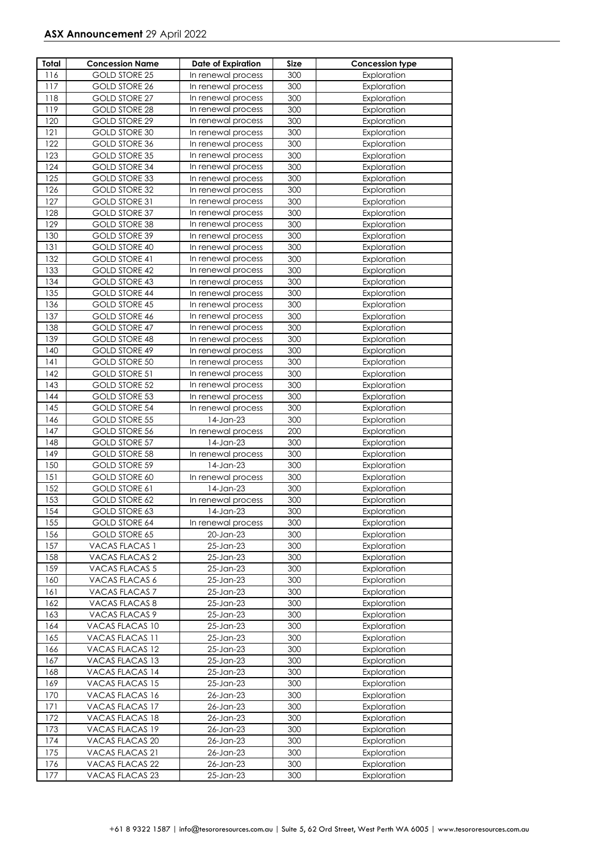| Total      | <b>Concession Name</b>                       | Date of Expiration                       | Size       | <b>Concession type</b>     |
|------------|----------------------------------------------|------------------------------------------|------------|----------------------------|
| 116        | GOLD STORE 25                                | In renewal process                       | 300        | Exploration                |
| 117        | <b>GOLD STORE 26</b>                         | In renewal process                       | 300        | Exploration                |
| 118        | <b>GOLD STORE 27</b>                         | In renewal process                       | 300        | Exploration                |
| 119        | <b>GOLD STORE 28</b>                         | In renewal process                       | 300        | Exploration                |
| 120        | GOLD STORE 29                                | In renewal process                       | 300        | Exploration                |
| 121        | <b>GOLD STORE 30</b>                         | In renewal process                       | 300        | Exploration                |
| 122        | GOLD STORE 36                                | In renewal process                       | 300        | Exploration                |
| 123        | <b>GOLD STORE 35</b>                         | In renewal process                       | 300        | Exploration                |
| 124        | <b>GOLD STORE 34</b>                         | In renewal process                       | 300        | Exploration                |
| 125        | <b>GOLD STORE 33</b>                         | In renewal process                       | 300        | Exploration                |
| 126        | <b>GOLD STORE 32</b>                         | In renewal process                       | 300        | Exploration                |
| 127        | GOLD STORE 31                                | In renewal process                       | 300        | Exploration                |
| 128        | <b>GOLD STORE 37</b>                         | In renewal process                       | 300        | Exploration                |
| 129        | <b>GOLD STORE 38</b>                         | In renewal process                       | 300        | Exploration                |
| 130        | GOLD STORE 39                                | In renewal process                       | 300        | Exploration                |
| 131        | GOLD STORE 40                                | In renewal process                       | 300        | Exploration                |
| 132        | <b>GOLD STORE 41</b>                         | In renewal process                       | 300        | Exploration                |
| 133        | <b>GOLD STORE 42</b>                         | In renewal process                       | 300        | Exploration                |
|            |                                              |                                          |            |                            |
| 134        | <b>GOLD STORE 43</b><br><b>GOLD STORE 44</b> | In renewal process<br>In renewal process | 300        | Exploration                |
| 135<br>136 | <b>GOLD STORE 45</b>                         | In renewal process                       | 300<br>300 | Exploration<br>Exploration |
| 137        |                                              |                                          |            |                            |
|            | GOLD STORE 46<br><b>GOLD STORE 47</b>        | In renewal process                       | 300<br>300 | Exploration                |
| 138        |                                              | In renewal process                       |            | Exploration                |
| 139        | <b>GOLD STORE 48</b>                         | In renewal process                       | 300        | Exploration                |
| 140        | GOLD STORE 49                                | In renewal process                       | 300        | Exploration                |
| 141        | <b>GOLD STORE 50</b>                         | In renewal process                       | 300        | Exploration                |
| 142        | <b>GOLD STORE 51</b>                         | In renewal process                       | 300        | Exploration                |
| 143        | <b>GOLD STORE 52</b>                         | In renewal process                       | 300        | Exploration                |
| 144        | GOLD STORE 53                                | In renewal process                       | 300        | Exploration                |
| 145        | GOLD STORE 54                                | In renewal process                       | 300        | Exploration                |
| 146        | <b>GOLD STORE 55</b>                         | 14-Jan-23                                | 300        | Exploration                |
| 147<br>148 | GOLD STORE 56                                | In renewal process<br>14-Jan-23          | 200        | Exploration                |
| 149        | <b>GOLD STORE 57</b><br><b>GOLD STORE 58</b> |                                          | 300        | Exploration                |
| 150        |                                              | In renewal process<br>14-Jan-23          | 300<br>300 | Exploration                |
| 151        | <b>GOLD STORE 59</b><br>GOLD STORE 60        |                                          | 300        | Exploration<br>Exploration |
| 152        | GOLD STORE 61                                | In renewal process<br>14-Jan-23          | 300        | Exploration                |
| 153        | <b>GOLD STORE 62</b>                         |                                          | 300        | Exploration                |
| 154        |                                              | In renewal process                       |            |                            |
| 155        | GOLD STORE 63                                | 14-Jan-23                                | 300        | Exploration                |
| 156        | GOLD STORE 64<br><b>GOLD STORE 65</b>        | In renewal process<br>20-Jan-23          | 300<br>300 | Exploration<br>Exploration |
| 157        | <b>VACAS FLACAS 1</b>                        | 25-Jan-23                                | 300        | Exploration                |
|            | <b>VACAS FLACAS 2</b>                        |                                          |            |                            |
| 158<br>159 | VACAS FLACAS 5                               | 25-Jan-23<br>25-Jan-23                   | 300<br>300 | Exploration<br>Exploration |
| 160        | VACAS FLACAS 6                               | 25-Jan-23                                | 300        | Exploration                |
| 161        | VACAS FLACAS 7                               | 25-Jan-23                                | 300        | Exploration                |
| 162        | VACAS FLACAS 8                               | 25-Jan-23                                | 300        | Exploration                |
| 163        |                                              | 25-Jan-23                                | 300        | Exploration                |
| 164        | VACAS FLACAS 9                               |                                          | 300        | Exploration                |
| 165        | VACAS FLACAS 10<br>VACAS FLACAS 11           | 25-Jan-23<br>25-Jan-23                   | 300        | Exploration                |
|            |                                              |                                          |            |                            |
| 166        | VACAS FLACAS 12                              | 25-Jan-23                                | 300        | Exploration                |
| 167        | VACAS FLACAS 13                              | 25-Jan-23                                | 300        | Exploration                |
| 168        | VACAS FLACAS 14                              | 25-Jan-23                                | 300        | Exploration                |
| 169        | VACAS FLACAS 15                              | 25-Jan-23                                | 300        | Exploration                |
| 170        | VACAS FLACAS 16                              | 26-Jan-23                                | 300        | Exploration                |
| 171        | VACAS FLACAS 17                              | 26-Jan-23                                | 300        | Exploration                |
| 172        | VACAS FLACAS 18                              | 26-Jan-23                                | 300        | Exploration                |
| 173        | VACAS FLACAS 19                              | 26-Jan-23                                | 300        | Exploration                |
| 174        | VACAS FLACAS 20                              | 26-Jan-23                                | 300        | Exploration                |
| 175        | VACAS FLACAS 21                              | 26-Jan-23                                | 300        | Exploration                |
| 176        | VACAS FLACAS 22                              | 26-Jan-23                                | 300        | Exploration                |
| 177        | VACAS FLACAS 23                              | 25-Jan-23                                | 300        | Exploration                |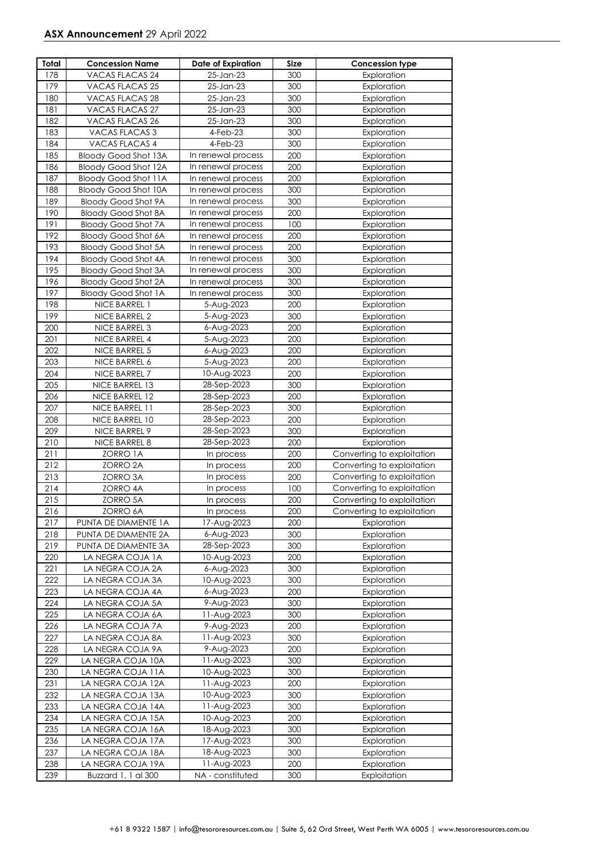| Total | <b>Concession Name</b>      | <b>Date of Expiration</b> | Size | Concession type            |
|-------|-----------------------------|---------------------------|------|----------------------------|
| 178   | VACAS FLACAS 24             | 25-Jan-23                 | 300  | Exploration                |
| 179   | VACAS FLACAS 25             | 25-Jan-23                 | 300  | Exploration                |
| 180   | VACAS FLACAS 28             | 25-Jan-23                 | 300  | Exploration                |
| 181   | <b>VACAS FLACAS 27</b>      | 25-Jan-23                 | 300  | Exploration                |
| 182   | VACAS FLACAS 26             | 25-Jan-23                 | 300  | Exploration                |
| 183   | VACAS FLACAS 3              | $4-Feb-23$                | 300  | Exploration                |
| 184   | VACAS FLACAS 4              | 4-Feb-23                  | 300  | Exploration                |
| 185   | <b>Bloody Good Shot 13A</b> | In renewal process        | 200  | Exploration                |
| 186   | <b>Bloody Good Shot 12A</b> | In renewal process        | 200  | Exploration                |
| 187   | <b>Bloody Good Shot 11A</b> | In renewal process        | 200  | Exploration                |
| 188   | <b>Bloody Good Shot 10A</b> | In renewal process        | 300  | Exploration                |
| 189   | <b>Bloody Good Shot 9A</b>  | In renewal process        | 300  | Exploration                |
| 190   | <b>Bloody Good Shot 8A</b>  | In renewal process        | 200  | Exploration                |
| 191   | <b>Bloody Good Shot 7A</b>  | In renewal process        | 100  | Exploration                |
| 192   | <b>Bloody Good Shot 6A</b>  | In renewal process        | 200  | Exploration                |
| 193   | <b>Bloody Good Shot 5A</b>  | In renewal process        | 200  | Exploration                |
| 194   | <b>Bloody Good Shot 4A</b>  | In renewal process        | 300  | Exploration                |
| 195   | <b>Bloody Good Shot 3A</b>  | In renewal process        | 300  | Exploration                |
| 196   | <b>Bloody Good Shot 2A</b>  | In renewal process        | 300  | Exploration                |
| 197   | <b>Bloody Good Shot 1A</b>  | In renewal process        | 300  | Exploration                |
| 198   | NICE BARREL 1               | 5-Aug-2023                | 200  | Exploration                |
| 199   | NICE BARREL 2               | 5-Aug-2023                | 300  | Exploration                |
| 200   | NICE BARREL 3               | 6-Aug-2023                | 200  | Exploration                |
| 201   | NICE BARREL 4               | 5-Aug-2023                | 200  | Exploration                |
| 202   | NICE BARREL 5               | 6-Aug-2023                | 200  | Exploration                |
| 203   | NICE BARREL 6               | 5-Aug-2023                | 200  | Exploration                |
| 204   | NICE BARREL 7               | 10-Aug-2023               | 200  | Exploration                |
| 205   | NICE BARREL 13              | 28-Sep-2023               | 300  | Exploration                |
| 206   | NICE BARREL 12              | 28-Sep-2023               | 200  | Exploration                |
| 207   | NICE BARREL 11              | 28-Sep-2023               | 300  | Exploration                |
| 208   | NICE BARREL 10              | 28-Sep-2023               | 200  | Exploration                |
| 209   | NICE BARREL 9               | 28-Sep-2023               | 300  | Exploration                |
| 210   | NICE BARREL 8               | 28-Sep-2023               | 200  | Exploration                |
| 211   | ZORRO 1A                    | In process                | 200  | Converting to exploitation |
| 212   | ZORRO 2A                    | In process                | 200  | Converting to exploitation |
| 213   | ZORRO 3A                    | In process                | 200  | Converting to exploitation |
| 214   | <b>ZORRO 4A</b>             | In process                | 100  | Converting to exploitation |
| 215   | <b>ZORRO 5A</b>             | In process                | 200  | Converting to exploitation |
| 216   | ZORRO 6A                    | In process                | 200  | Converting to exploitation |
| 217   | PUNTA DE DIAMENTE 1A        | 17-Aug-2023               | 200  | Exploration                |
| 218   | PUNTA DE DIAMENTE 2A        | 6-Aug-2023                | 300  | Exploration                |
| 219   | PUNTA DE DIAMENTE 3A        | 28-Sep-2023               | 300  | Exploration                |
| 220   | LA NEGRA COJA 1A            | 10-Aug-2023               | 200  | Exploration                |
| 221   | LA NEGRA COJA 2A            | 6-Aug-2023                | 300  | Exploration                |
| 222   | LA NEGRA COJA 3A            | 10-Aug-2023               | 300  | Exploration                |
| 223   | LA NEGRA COJA 4A            | 6-Aug-2023                | 200  | Exploration                |
| 224   | LA NEGRA COJA 5A            | 9-Aug-2023                | 300  | Exploration                |
| 225   | LA NEGRA COJA 6A            | 11-Aug-2023               | 300  | Exploration                |
| 226   | LA NEGRA COJA 7A            | 9-Aug-2023                | 200  | Exploration                |
| 227   | LA NEGRA COJA 8A            | 11-Aug-2023               | 300  | Exploration                |
| 228   | LA NEGRA COJA 9A            | 9-Aug-2023                | 200  | Exploration                |
| 229   | LA NEGRA COJA 10A           | 11-Aug-2023               | 300  | Exploration                |
| 230   | LA NEGRA COJA 11A           | 10-Aug-2023               | 300  | Exploration                |
| 231   | LA NEGRA COJA 12A           | 11-Aug-2023               | 200  | Exploration                |
| 232   | LA NEGRA COJA 13A           | 10-Aug-2023               | 300  | Exploration                |
| 233   | LA NEGRA COJA 14A           | 11-Aug-2023               | 300  | Exploration                |
| 234   | LA NEGRA COJA 15A           | 10-Aug-2023               | 200  | Exploration                |
| 235   | LA NEGRA COJA 16A           | 18-Aug-2023               | 300  | Exploration                |
| 236   | LA NEGRA COJA 17A           | 17-Aug-2023               | 300  | Exploration                |
| 237   | LA NEGRA COJA 18A           | 18-Aug-2023               | 300  | Exploration                |
| 238   | LA NEGRA COJA 19A           | 11-Aug-2023               | 200  | Exploration                |
| 239   | Buzzard 1, 1 al 300         | NA - constituted          | 300  | Exploitation               |